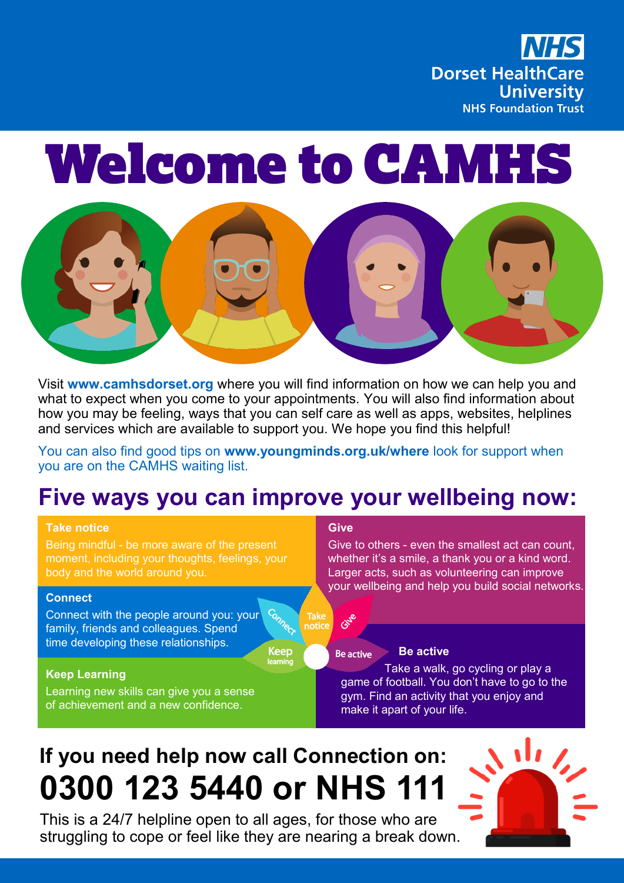

# Welcome to CAMHS



Visit **www.camhsdorset.org** where you will find information on how we can help you and what to expect when you come to your appointments. You will also find information about how you may be feeling, ways that you can self care as well as apps, websites, helplines and services which are available to support you. We hope you find this helpful!

You can also find good tips on **[www.youngminds.org.uk/where](http://www.youngminds.org.uk/where)** look for support when you are on the CAMHS waiting list.

## **Five ways you can improve your wellbeing now:**

**Take** notice

Connect

**Keep** 

### **Take notice**

Being mindful - be more aware of the present moment, including your thoughts, feelings, your body and the world around you.

### **Connect**

Connect with the people around you: your family, friends and colleagues. Spend time developing these relationships.

### **Keep Learning**

Learning new skills can give you a sense of achievement and a new confidence.

#### **Give**

Gyle

Give to others - even the smallest act can count, whether it's a smile, a thank you or a kind word. Larger acts, such as volunteering can improve your wellbeing and help you build social networks.

#### **Be active Be active**

 Take a walk, go cycling or play a game of football. You don't have to go to the gym. Find an activity that you enjoy and make it apart of your life.

## **If you need help now call Connection on: 0300 123 5440 or NHS 111**

This is a 24/7 helpline open to all ages, for those who are struggling to cope or feel like they are nearing a break down.